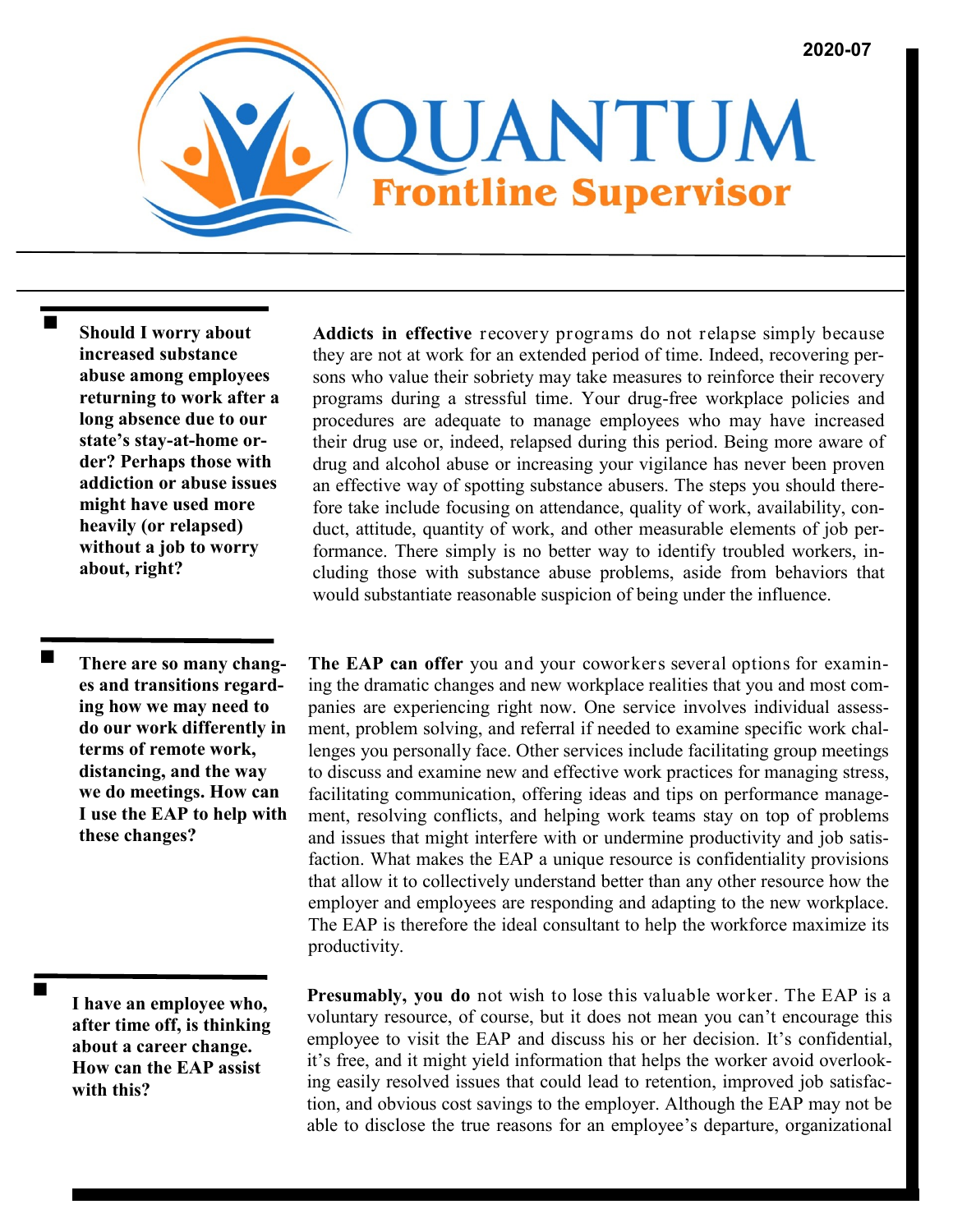**Should I worry about increased substance abuse among employees returning to work after a long absence due to our state's stay-at-home order? Perhaps those with addiction or abuse issues might have used more heavily (or relapsed) without a job to worry about, right?**

**There are so many changes and transitions regarding how we may need to do our work differently in terms of remote work, distancing, and the way we do meetings. How can I use the EAP to help with these changes?**

**I have an employee who, after time off, is thinking about a career change. How can the EAP assist with this?**

**Addicts in effective** recovery programs do not relapse simply because they are not at work for an extended period of time. Indeed, recovering persons who value their sobriety may take measures to reinforce their recovery programs during a stressful time. Your drug-free workplace policies and procedures are adequate to manage employees who may have increased their drug use or, indeed, relapsed during this period. Being more aware of drug and alcohol abuse or increasing your vigilance has never been proven an effective way of spotting substance abusers. The steps you should therefore take include focusing on attendance, quality of work, availability, conduct, attitude, quantity of work, and other measurable elements of job performance. There simply is no better way to identify troubled workers, including those with substance abuse problems, aside from behaviors that would substantiate reasonable suspicion of being under the influence.

**The EAP can offer** you and your coworkers several options for examining the dramatic changes and new workplace realities that you and most companies are experiencing right now. One service involves individual assessment, problem solving, and referral if needed to examine specific work challenges you personally face. Other services include facilitating group meetings to discuss and examine new and effective work practices for managing stress, facilitating communication, offering ideas and tips on performance management, resolving conflicts, and helping work teams stay on top of problems and issues that might interfere with or undermine productivity and job satisfaction. What makes the EAP a unique resource is confidentiality provisions that allow it to collectively understand better than any other resource how the employer and employees are responding and adapting to the new workplace. The EAP is therefore the ideal consultant to help the workforce maximize its productivity.

**Presumably, you do** not wish to lose this valuable worker. The EAP is a voluntary resource, of course, but it does not mean you can't encourage this employee to visit the EAP and discuss his or her decision. It's confidential, it's free, and it might yield information that helps the worker avoid overlooking easily resolved issues that could lead to retention, improved job satisfaction, and obvious cost savings to the employer. Although the EAP may not be able to disclose the true reasons for an employee's departure, organizational